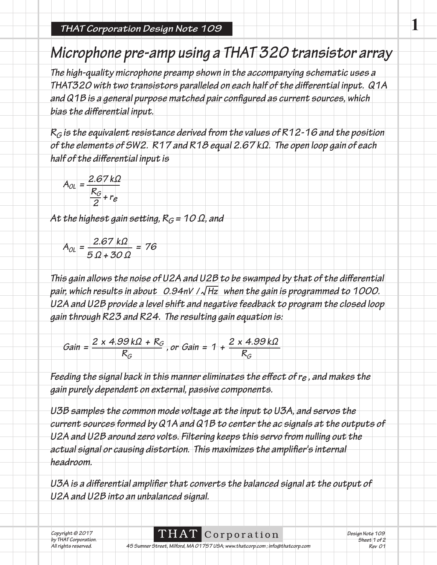## **Microphone pre-amp using a THAT 320 transistor array**

**The high-quality microphone preamp shown in the accompanying schematic uses a**  THAT320 with two transistors paralleled on each half of the differential input. Q1A and Q1B is a general purpose matched pair configured as current sources, which bias the differential input.

**RG is the equivalent resistance derived from the values of R12-16 and the position of the elements of SW2. R17 and R18 equal 2.67 kΩ. The open loop gain of each**  half of the differential input is

$$
A_{OL} = \frac{2.67 k\Omega}{\frac{R_G}{2} + r_e}
$$

At the highest gain setting,  $R_G$  = 10  $\Omega$ , and

 $A_{OL} = \frac{2.67 \text{ k}\Omega}{5.0 \times 30.0} = 76$ **5 Ω + 30 Ω**

This gain allows the noise of U2A and U2B to be swamped by that of the differential pair, which results in about 0.94nV /  $\sqrt{Hz}$  when the gain is programmed to 1000. **U2A and U2B provide a level shift and negative feedback to program the closed loop gain through R23 and R24. The resulting gain equation is:**

$$
Gain = \frac{2 \times 4.99 k\Omega + R_G}{R_G}, or Gain = 1 + \frac{2 \times 4.99 k\Omega}{R_G}
$$

Feeding the signal back in this manner eliminates the effect of r<sub>e</sub>, and makes the **gain purely dependent on external, passive components.**

**U3B samples the common mode voltage at the input to U3A, and servos the current sources formed by Q1A and Q1B to center the ac signals at the outputs of U2A and U2B around zero volts. Filtering keeps this servo from nulling out the**  actual signal or causing distortion. This maximizes the amplifier's internal **headroom.** 

U3A is a differential amplifier that converts the balanced signal at the output of **U2A and U2B into an unbalanced signal.**

|  | Copyright © 2017     |  |  |
|--|----------------------|--|--|
|  | by THAT Corporation. |  |  |
|  | All rights reserved. |  |  |

THAT Corporation **All rights reserved. 45 Sumner Street, Milford, MA 01757 USA; www.thatcorp.com ; info@thatcorp.com** **Design Note 109 Sheet 1 of 2 Rev 01**